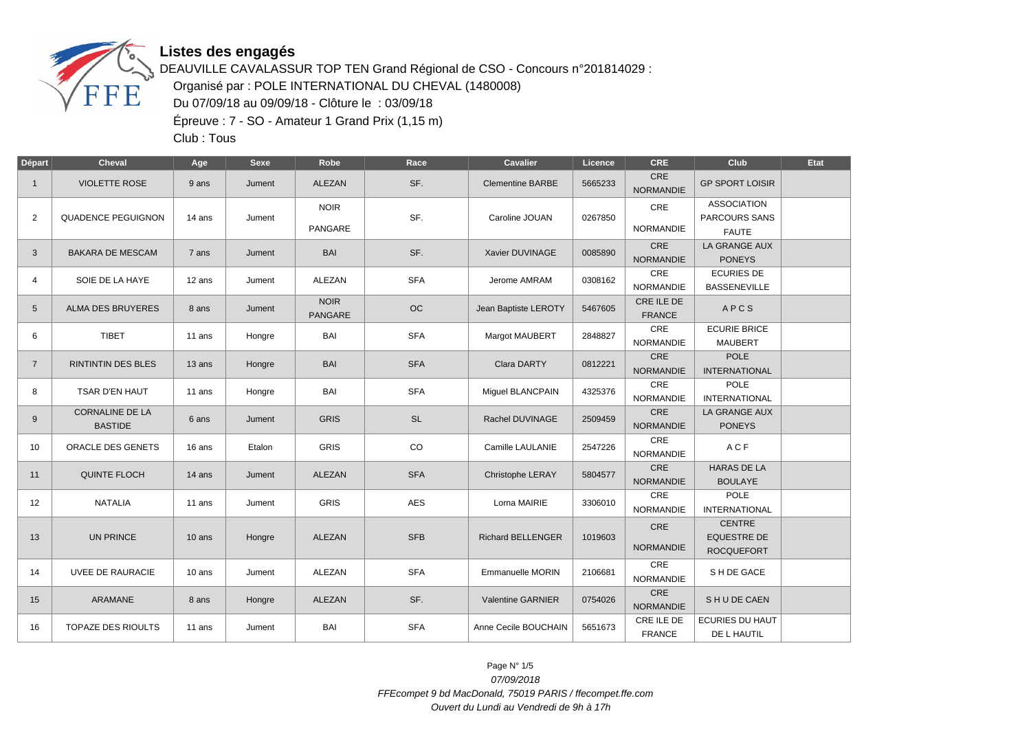

DEAUVILLE CAVALASSUR TOP TEN Grand Régional de CSO - Concours n°201814029 : Organisé par : POLE INTERNATIONAL DU CHEVAL (1480008) Du 07/09/18 au 09/09/18 - Clôture le : 03/09/18 Épreuve : 7 - SO - Amateur 1 Grand Prix (1,15 m)

Club : Tous

| Départ          | <b>Cheval</b>                            | Age    | <b>Sexe</b> | Robe                          | Race       | <b>Cavalier</b>          | Licence | <b>CRE</b>                     | Club                                                       | Etat |
|-----------------|------------------------------------------|--------|-------------|-------------------------------|------------|--------------------------|---------|--------------------------------|------------------------------------------------------------|------|
| $\mathbf{1}$    | <b>VIOLETTE ROSE</b>                     | 9 ans  | Jument      | <b>ALEZAN</b>                 | SF.        | <b>Clementine BARBE</b>  | 5665233 | CRE<br><b>NORMANDIE</b>        | <b>GP SPORT LOISIR</b>                                     |      |
| $\overline{2}$  | <b>QUADENCE PEGUIGNON</b>                | 14 ans | Jument      | <b>NOIR</b><br>PANGARE        | SF.        | Caroline JOUAN           | 0267850 | CRE<br><b>NORMANDIE</b>        | <b>ASSOCIATION</b><br><b>PARCOURS SANS</b><br><b>FAUTE</b> |      |
| 3               | <b>BAKARA DE MESCAM</b>                  | 7 ans  | Jument      | <b>BAI</b>                    | SF.        | Xavier DUVINAGE          | 0085890 | <b>CRE</b><br><b>NORMANDIE</b> | LA GRANGE AUX<br><b>PONEYS</b>                             |      |
| 4               | SOIE DE LA HAYE                          | 12 ans | Jument      | ALEZAN                        | <b>SFA</b> | Jerome AMRAM             | 0308162 | CRE<br><b>NORMANDIE</b>        | <b>ECURIES DE</b><br><b>BASSENEVILLE</b>                   |      |
| $5\overline{)}$ | <b>ALMA DES BRUYERES</b>                 | 8 ans  | Jument      | <b>NOIR</b><br><b>PANGARE</b> | OC         | Jean Baptiste LEROTY     | 5467605 | CRE ILE DE<br><b>FRANCE</b>    | APCS                                                       |      |
| 6               | <b>TIBET</b>                             | 11 ans | Hongre      | BAI                           | <b>SFA</b> | Margot MAUBERT           | 2848827 | CRE<br><b>NORMANDIE</b>        | <b>ECURIE BRICE</b><br><b>MAUBERT</b>                      |      |
| $\overline{7}$  | <b>RINTINTIN DES BLES</b>                | 13 ans | Hongre      | <b>BAI</b>                    | <b>SFA</b> | Clara DARTY              | 0812221 | CRE<br><b>NORMANDIE</b>        | <b>POLE</b><br><b>INTERNATIONAL</b>                        |      |
| 8               | TSAR D'EN HAUT                           | 11 ans | Hongre      | BAI                           | <b>SFA</b> | Miguel BLANCPAIN         | 4325376 | CRE<br><b>NORMANDIE</b>        | POLE<br><b>INTERNATIONAL</b>                               |      |
| 9               | <b>CORNALINE DE LA</b><br><b>BASTIDE</b> | 6 ans  | Jument      | <b>GRIS</b>                   | <b>SL</b>  | Rachel DUVINAGE          | 2509459 | <b>CRE</b><br><b>NORMANDIE</b> | LA GRANGE AUX<br><b>PONEYS</b>                             |      |
| 10              | ORACLE DES GENETS                        | 16 ans | Etalon      | GRIS                          | CO         | Camille LAULANIE         | 2547226 | CRE<br>NORMANDIE               | ACF                                                        |      |
| 11              | <b>QUINTE FLOCH</b>                      | 14 ans | Jument      | <b>ALEZAN</b>                 | <b>SFA</b> | Christophe LERAY         | 5804577 | <b>CRE</b><br><b>NORMANDIE</b> | <b>HARAS DE LA</b><br><b>BOULAYE</b>                       |      |
| 12              | <b>NATALIA</b>                           | 11 ans | Jument      | <b>GRIS</b>                   | <b>AES</b> | Lorna MAIRIE             | 3306010 | CRE<br><b>NORMANDIE</b>        | POLE<br><b>INTERNATIONAL</b>                               |      |
| 13              | <b>UN PRINCE</b>                         | 10 ans | Hongre      | ALEZAN                        | <b>SFB</b> | <b>Richard BELLENGER</b> | 1019603 | CRE<br><b>NORMANDIE</b>        | <b>CENTRE</b><br><b>EQUESTRE DE</b><br><b>ROCQUEFORT</b>   |      |
| 14              | <b>UVEE DE RAURACIE</b>                  | 10 ans | Jument      | ALEZAN                        | <b>SFA</b> | Emmanuelle MORIN         | 2106681 | CRE<br><b>NORMANDIE</b>        | S H DE GACE                                                |      |
| 15              | ARAMANE                                  | 8 ans  | Hongre      | ALEZAN                        | SF.        | Valentine GARNIER        | 0754026 | CRE<br><b>NORMANDIE</b>        | SHUDE CAEN                                                 |      |
| 16              | <b>TOPAZE DES RIOULTS</b>                | 11 ans | Jument      | BAI                           | <b>SFA</b> | Anne Cecile BOUCHAIN     | 5651673 | CRE ILE DE<br><b>FRANCE</b>    | <b>ECURIES DU HAUT</b><br>DE L HAUTIL                      |      |

Page N° 1/5 07/09/2018 FFEcompet 9 bd MacDonald, 75019 PARIS / ffecompet.ffe.com Ouvert du Lundi au Vendredi de 9h à 17h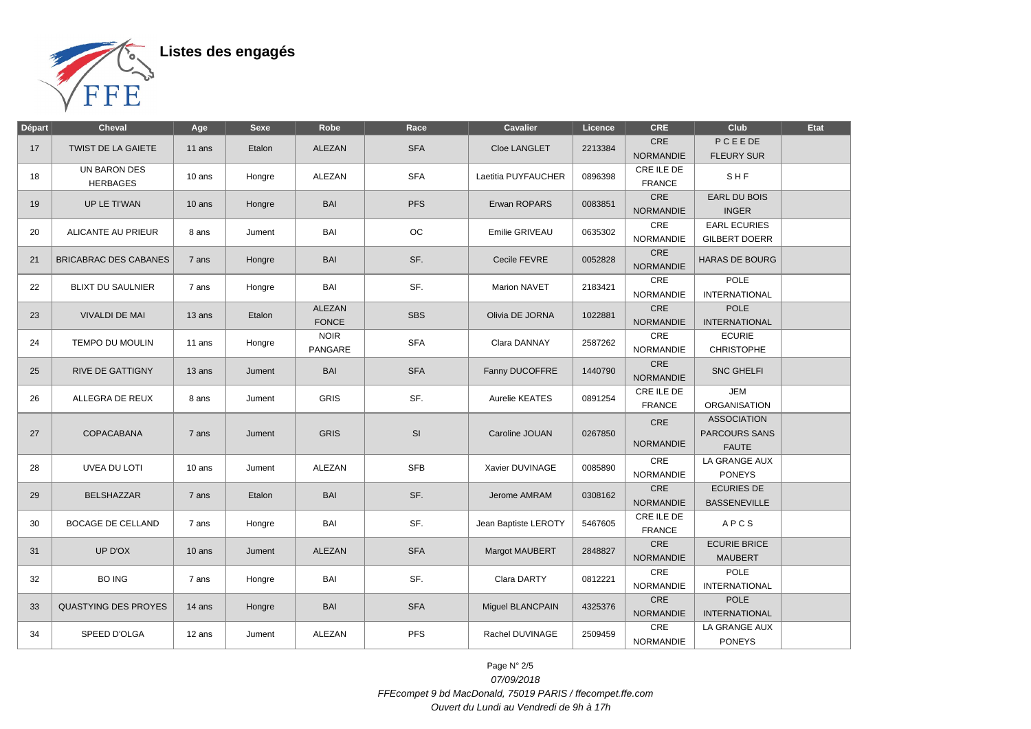

| Départ | <b>Cheval</b>                | Age      | <b>Sexe</b> | Robe          | Race       | Cavalier             | Licence | CRE                     | Club                  | <b>Etat</b> |
|--------|------------------------------|----------|-------------|---------------|------------|----------------------|---------|-------------------------|-----------------------|-------------|
|        | <b>TWIST DE LA GAIETE</b>    |          |             |               | <b>SFA</b> |                      |         | <b>CRE</b>              | PCEEDE                |             |
| 17     |                              | 11 ans   | Etalon      | <b>ALEZAN</b> |            | Cloe LANGLET         | 2213384 | <b>NORMANDIE</b>        | <b>FLEURY SUR</b>     |             |
| 18     | UN BARON DES                 | 10 ans   | Hongre      | ALEZAN        | <b>SFA</b> | Laetitia PUYFAUCHER  | 0896398 | CRE ILE DE              | SHF                   |             |
|        | <b>HERBAGES</b>              |          |             |               |            |                      |         | <b>FRANCE</b>           |                       |             |
| 19     | UP LE TI'WAN                 | $10$ ans | Hongre      | <b>BAI</b>    | <b>PFS</b> | Erwan ROPARS         | 0083851 | CRE                     | <b>EARL DU BOIS</b>   |             |
|        |                              |          |             |               |            |                      |         | <b>NORMANDIE</b>        | <b>INGER</b>          |             |
| 20     | ALICANTE AU PRIEUR           | 8 ans    | Jument      | BAI           | OC         | Emilie GRIVEAU       | 0635302 | CRE                     | <b>EARL ECURIES</b>   |             |
|        |                              |          |             |               |            |                      |         | <b>NORMANDIE</b>        | <b>GILBERT DOERR</b>  |             |
| 21     | <b>BRICABRAC DES CABANES</b> | 7 ans    | Hongre      | <b>BAI</b>    | SF.        | Cecile FEVRE         | 0052828 | CRE                     | <b>HARAS DE BOURG</b> |             |
|        |                              |          |             |               |            |                      |         | <b>NORMANDIE</b>        |                       |             |
| 22     | <b>BLIXT DU SAULNIER</b>     | 7 ans    | Hongre      | BAI           | SF.        | <b>Marion NAVET</b>  | 2183421 | CRE                     | <b>POLE</b>           |             |
|        |                              |          |             |               |            |                      |         | <b>NORMANDIE</b>        | <b>INTERNATIONAL</b>  |             |
| 23     | <b>VIVALDI DE MAI</b>        | 13 ans   | Etalon      | ALEZAN        | <b>SBS</b> | Olivia DE JORNA      | 1022881 | CRE                     | <b>POLE</b>           |             |
|        |                              |          |             | <b>FONCE</b>  |            |                      |         | <b>NORMANDIE</b>        | <b>INTERNATIONAL</b>  |             |
| 24     | <b>TEMPO DU MOULIN</b>       | 11 ans   | Hongre      | <b>NOIR</b>   | <b>SFA</b> | Clara DANNAY         | 2587262 | $\mathsf{CRE}$          | <b>ECURIE</b>         |             |
|        |                              |          |             | PANGARE       |            |                      |         | <b>NORMANDIE</b>        | <b>CHRISTOPHE</b>     |             |
| 25     | <b>RIVE DE GATTIGNY</b>      | 13 ans   | Jument      | <b>BAI</b>    | <b>SFA</b> | Fanny DUCOFFRE       | 1440790 | CRE<br><b>NORMANDIE</b> | <b>SNC GHELFI</b>     |             |
|        |                              |          |             |               |            |                      |         | CRE ILE DE              | <b>JEM</b>            |             |
| 26     | ALLEGRA DE REUX              | 8 ans    | Jument      | <b>GRIS</b>   | SF.        | Aurelie KEATES       | 0891254 | <b>FRANCE</b>           | <b>ORGANISATION</b>   |             |
|        |                              |          |             |               |            |                      |         |                         | <b>ASSOCIATION</b>    |             |
| 27     | COPACABANA                   | 7 ans    | Jument      | <b>GRIS</b>   | SI         | Caroline JOUAN       | 0267850 | CRE                     | <b>PARCOURS SANS</b>  |             |
|        |                              |          |             |               |            |                      |         | <b>NORMANDIE</b>        | <b>FAUTE</b>          |             |
|        |                              |          |             |               |            |                      |         | CRE                     | LA GRANGE AUX         |             |
| 28     | <b>UVEA DU LOTI</b>          | 10 ans   | Jument      | <b>ALEZAN</b> | <b>SFB</b> | Xavier DUVINAGE      | 0085890 | <b>NORMANDIE</b>        | <b>PONEYS</b>         |             |
|        |                              |          |             |               |            |                      |         | CRE                     | <b>ECURIES DE</b>     |             |
| 29     | <b>BELSHAZZAR</b>            | 7 ans    | Etalon      | <b>BAI</b>    | SF.        | Jerome AMRAM         | 0308162 | <b>NORMANDIE</b>        | <b>BASSENEVILLE</b>   |             |
|        |                              |          |             |               | SF.        |                      |         | CRE ILE DE              | APCS                  |             |
| 30     | <b>BOCAGE DE CELLAND</b>     | 7 ans    | Hongre      | BAI           |            | Jean Baptiste LEROTY | 5467605 | <b>FRANCE</b>           |                       |             |
| 31     | UP D'OX                      | $10$ ans | Jument      | <b>ALEZAN</b> | <b>SFA</b> | Margot MAUBERT       | 2848827 | CRE                     | <b>ECURIE BRICE</b>   |             |
|        |                              |          |             |               |            |                      |         | <b>NORMANDIE</b>        | <b>MAUBERT</b>        |             |
| 32     | <b>BO ING</b>                | 7 ans    | Hongre      | BAI           | SF.        | Clara DARTY          | 0812221 | CRE                     | <b>POLE</b>           |             |
|        |                              |          |             |               |            |                      |         | <b>NORMANDIE</b>        | <b>INTERNATIONAL</b>  |             |
| 33     | <b>QUASTYING DES PROYES</b>  | 14 ans   | Hongre      | <b>BAI</b>    | <b>SFA</b> | Miguel BLANCPAIN     | 4325376 | CRE                     | <b>POLE</b>           |             |
|        |                              |          |             |               |            |                      |         | <b>NORMANDIE</b>        | <b>INTERNATIONAL</b>  |             |
| 34     | SPEED D'OLGA                 | 12 ans   | Jument      | ALEZAN        | <b>PFS</b> | Rachel DUVINAGE      | 2509459 | CRE                     | LA GRANGE AUX         |             |
|        |                              |          |             |               |            |                      |         | NORMANDIE               | <b>PONEYS</b>         |             |

Page N° 2/5 07/09/2018 FFEcompet 9 bd MacDonald, 75019 PARIS / ffecompet.ffe.com Ouvert du Lundi au Vendredi de 9h à 17h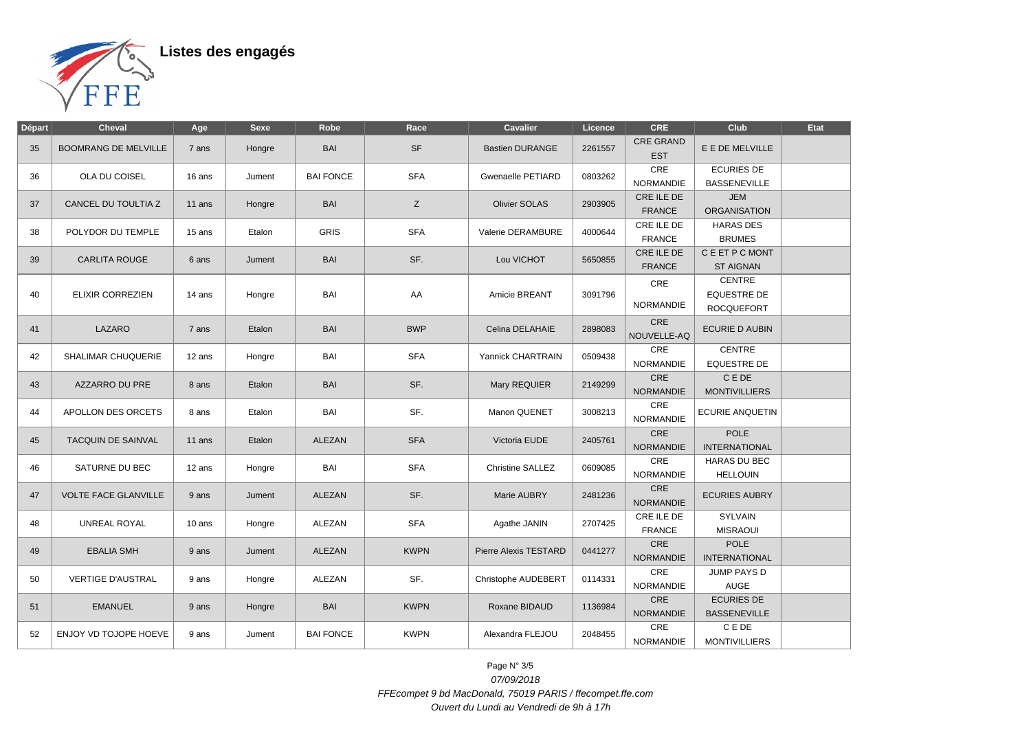

| Départ | <b>Cheval</b>               | Age      | <b>Sexe</b> | Robe             | Race        | <b>Cavalier</b>         | Licence | CRE                            | Club                                              | Etat |
|--------|-----------------------------|----------|-------------|------------------|-------------|-------------------------|---------|--------------------------------|---------------------------------------------------|------|
| 35     | <b>BOOMRANG DE MELVILLE</b> | 7 ans    | Hongre      | <b>BAI</b>       | <b>SF</b>   | <b>Bastien DURANGE</b>  | 2261557 | <b>CRE GRAND</b><br><b>EST</b> | E E DE MELVILLE                                   |      |
| 36     | OLA DU COISEL               | 16 ans   | Jument      | <b>BAI FONCE</b> | <b>SFA</b>  | Gwenaelle PETIARD       | 0803262 | CRE<br><b>NORMANDIE</b>        | <b>ECURIES DE</b><br><b>BASSENEVILLE</b>          |      |
| 37     | CANCEL DU TOULTIA Z         | 11 ans   | Hongre      | <b>BAI</b>       | Z           | <b>Olivier SOLAS</b>    | 2903905 | CRE ILE DE<br>FRANCE           | <b>JEM</b><br><b>ORGANISATION</b>                 |      |
| 38     | POLYDOR DU TEMPLE           | 15 ans   | Etalon      | <b>GRIS</b>      | <b>SFA</b>  | Valerie DERAMBURE       | 4000644 | CRE ILE DE<br><b>FRANCE</b>    | <b>HARAS DES</b><br><b>BRUMES</b>                 |      |
| 39     | <b>CARLITA ROUGE</b>        | 6 ans    | Jument      | BAI              | SF.         | Lou VICHOT              | 5650855 | CRE ILE DE<br><b>FRANCE</b>    | C E ET P C MONT<br><b>ST AIGNAN</b>               |      |
| 40     | <b>ELIXIR CORREZIEN</b>     | 14 ans   | Hongre      | BAI              | AA          | Amicie BREANT           | 3091796 | CRE<br><b>NORMANDIE</b>        | CENTRE<br><b>EQUESTRE DE</b><br><b>ROCQUEFORT</b> |      |
| 41     | LAZARO                      | 7 ans    | Etalon      | <b>BAI</b>       | <b>BWP</b>  | Celina DELAHAIE         | 2898083 | CRE<br>NOUVELLE-AQ             | <b>ECURIE D AUBIN</b>                             |      |
| 42     | SHALIMAR CHUQUERIE          | 12 ans   | Hongre      | BAI              | <b>SFA</b>  | Yannick CHARTRAIN       | 0509438 | CRE<br><b>NORMANDIE</b>        | CENTRE<br><b>EQUESTRE DE</b>                      |      |
| 43     | AZZARRO DU PRE              | 8 ans    | Etalon      | BAI              | SF.         | Mary REQUIER            | 2149299 | CRE<br><b>NORMANDIE</b>        | C E DE<br><b>MONTIVILLIERS</b>                    |      |
| 44     | APOLLON DES ORCETS          | 8 ans    | Etalon      | BAI              | SF.         | Manon QUENET            | 3008213 | CRE<br><b>NORMANDIE</b>        | <b>ECURIE ANQUETIN</b>                            |      |
| 45     | TACQUIN DE SAINVAL          | $11$ ans | Etalon      | <b>ALEZAN</b>    | <b>SFA</b>  | Victoria EUDE           | 2405761 | CRE<br><b>NORMANDIE</b>        | <b>POLE</b><br><b>INTERNATIONAL</b>               |      |
| 46     | SATURNE DU BEC              | 12 ans   | Hongre      | BAI              | <b>SFA</b>  | <b>Christine SALLEZ</b> | 0609085 | CRE<br><b>NORMANDIE</b>        | <b>HARAS DU BEC</b><br><b>HELLOUIN</b>            |      |
| 47     | <b>VOLTE FACE GLANVILLE</b> | 9 ans    | Jument      | <b>ALEZAN</b>    | SF.         | Marie AUBRY             | 2481236 | CRE<br><b>NORMANDIE</b>        | <b>ECURIES AUBRY</b>                              |      |
| 48     | <b>UNREAL ROYAL</b>         | 10 ans   | Hongre      | ALEZAN           | <b>SFA</b>  | Agathe JANIN            | 2707425 | CRE ILE DE<br><b>FRANCE</b>    | <b>SYLVAIN</b><br><b>MISRAOUI</b>                 |      |
| 49     | <b>EBALIA SMH</b>           | 9 ans    | Jument      | ALEZAN           | <b>KWPN</b> | Pierre Alexis TESTARD   | 0441277 | CRE<br><b>NORMANDIE</b>        | <b>POLE</b><br><b>INTERNATIONAL</b>               |      |
| 50     | <b>VERTIGE D'AUSTRAL</b>    | 9 ans    | Hongre      | ALEZAN           | SF.         | Christophe AUDEBERT     | 0114331 | CRE<br><b>NORMANDIE</b>        | JUMP PAYS D<br><b>AUGE</b>                        |      |
| 51     | <b>EMANUEL</b>              | 9 ans    | Hongre      | <b>BAI</b>       | <b>KWPN</b> | Roxane BIDAUD           | 1136984 | <b>CRE</b><br><b>NORMANDIE</b> | <b>ECURIES DE</b><br><b>BASSENEVILLE</b>          |      |
| 52     | ENJOY VD TOJOPE HOEVE       | 9 ans    | Jument      | <b>BAI FONCE</b> | <b>KWPN</b> | Alexandra FLEJOU        | 2048455 | CRE<br><b>NORMANDIE</b>        | C E DE<br><b>MONTIVILLIERS</b>                    |      |

Page N° 3/5 07/09/2018 FFEcompet 9 bd MacDonald, 75019 PARIS / ffecompet.ffe.com Ouvert du Lundi au Vendredi de 9h à 17h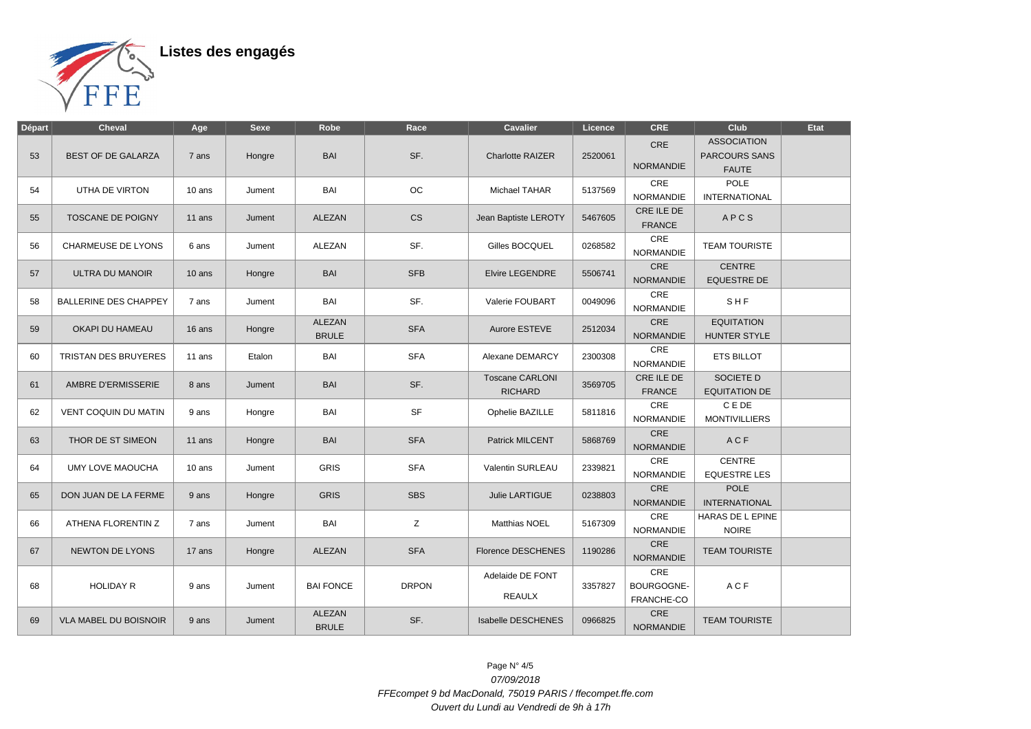

| Départ | <b>Cheval</b>                | Age      | <b>Sexe</b> | Robe                          | Race         | <b>Cavalier</b>                          | Licence | <b>CRE</b>                             | <b>Club</b>                                         | Etat |
|--------|------------------------------|----------|-------------|-------------------------------|--------------|------------------------------------------|---------|----------------------------------------|-----------------------------------------------------|------|
| 53     | <b>BEST OF DE GALARZA</b>    | 7 ans    | Hongre      | <b>BAI</b>                    | SF.          | <b>Charlotte RAIZER</b>                  | 2520061 | CRE<br><b>NORMANDIE</b>                | <b>ASSOCIATION</b><br>PARCOURS SANS<br><b>FAUTE</b> |      |
| 54     | UTHA DE VIRTON               | 10 ans   | Jument      | BAI                           | <b>OC</b>    | Michael TAHAR                            | 5137569 | CRE<br><b>NORMANDIE</b>                | <b>POLE</b><br><b>INTERNATIONAL</b>                 |      |
| 55     | <b>TOSCANE DE POIGNY</b>     | 11 ans   | Jument      | ALEZAN                        | <b>CS</b>    | Jean Baptiste LEROTY                     | 5467605 | CRE ILE DE<br><b>FRANCE</b>            | APCS                                                |      |
| 56     | <b>CHARMEUSE DE LYONS</b>    | 6 ans    | Jument      | ALEZAN                        | SF.          | Gilles BOCQUEL                           | 0268582 | <b>CRE</b><br>NORMANDIE                | <b>TEAM TOURISTE</b>                                |      |
| 57     | ULTRA DU MANOIR              | $10$ ans | Hongre      | <b>BAI</b>                    | <b>SFB</b>   | <b>Elvire LEGENDRE</b>                   | 5506741 | <b>CRE</b><br><b>NORMANDIE</b>         | <b>CENTRE</b><br><b>EQUESTRE DE</b>                 |      |
| 58     | <b>BALLERINE DES CHAPPEY</b> | 7 ans    | Jument      | BAI                           | SF.          | Valerie FOUBART                          | 0049096 | CRE<br><b>NORMANDIE</b>                | SHF                                                 |      |
| 59     | OKAPI DU HAMEAU              | 16 ans   | Hongre      | <b>ALEZAN</b><br><b>BRULE</b> | <b>SFA</b>   | Aurore ESTEVE                            | 2512034 | CRE<br><b>NORMANDIE</b>                | <b>EQUITATION</b><br>HUNTER STYLE                   |      |
| 60     | TRISTAN DES BRUYERES         | 11 ans   | Etalon      | BAI                           | <b>SFA</b>   | Alexane DEMARCY                          | 2300308 | CRE<br>NORMANDIE                       | <b>ETS BILLOT</b>                                   |      |
| 61     | AMBRE D'ERMISSERIE           | 8 ans    | Jument      | <b>BAI</b>                    | SF.          | <b>Toscane CARLONI</b><br><b>RICHARD</b> | 3569705 | CRE ILE DE<br><b>FRANCE</b>            | SOCIETE D<br><b>EQUITATION DE</b>                   |      |
| 62     | <b>VENT COQUIN DU MATIN</b>  | 9 ans    | Hongre      | BAI                           | <b>SF</b>    | Ophelie BAZILLE                          | 5811816 | CRE<br><b>NORMANDIE</b>                | C E DE<br><b>MONTIVILLIERS</b>                      |      |
| 63     | THOR DE ST SIMEON            | 11 ans   | Hongre      | <b>BAI</b>                    | <b>SFA</b>   | <b>Patrick MILCENT</b>                   | 5868769 | CRE<br><b>NORMANDIE</b>                | <b>ACF</b>                                          |      |
| 64     | <b>UMY LOVE MAOUCHA</b>      | 10 ans   | Jument      | <b>GRIS</b>                   | <b>SFA</b>   | Valentin SURLEAU                         | 2339821 | CRE<br><b>NORMANDIE</b>                | <b>CENTRE</b><br><b>EQUESTRE LES</b>                |      |
| 65     | DON JUAN DE LA FERME         | 9 ans    | Hongre      | <b>GRIS</b>                   | <b>SBS</b>   | <b>Julie LARTIGUE</b>                    | 0238803 | CRE<br><b>NORMANDIE</b>                | <b>POLE</b><br><b>INTERNATIONAL</b>                 |      |
| 66     | ATHENA FLORENTIN Z           | 7 ans    | Jument      | BAI                           | Z            | Matthias NOEL                            | 5167309 | CRE<br><b>NORMANDIE</b>                | HARAS DE L EPINE<br><b>NOIRE</b>                    |      |
| 67     | <b>NEWTON DE LYONS</b>       | 17 ans   | Hongre      | ALEZAN                        | <b>SFA</b>   | <b>Florence DESCHENES</b>                | 1190286 | <b>CRE</b><br><b>NORMANDIE</b>         | <b>TEAM TOURISTE</b>                                |      |
| 68     | <b>HOLIDAY R</b>             | 9 ans    | Jument      | <b>BAI FONCE</b>              | <b>DRPON</b> | Adelaide DE FONT<br><b>REAULX</b>        | 3357827 | <b>CRE</b><br>BOURGOGNE-<br>FRANCHE-CO | ACF                                                 |      |
| 69     | <b>VLA MABEL DU BOISNOIR</b> | 9 ans    | Jument      | <b>ALEZAN</b><br><b>BRULE</b> | SF.          | Isabelle DESCHENES                       | 0966825 | <b>CRE</b><br><b>NORMANDIE</b>         | <b>TEAM TOURISTE</b>                                |      |

Page N° 4/5 07/09/2018 FFEcompet 9 bd MacDonald, 75019 PARIS / ffecompet.ffe.com Ouvert du Lundi au Vendredi de 9h à 17h